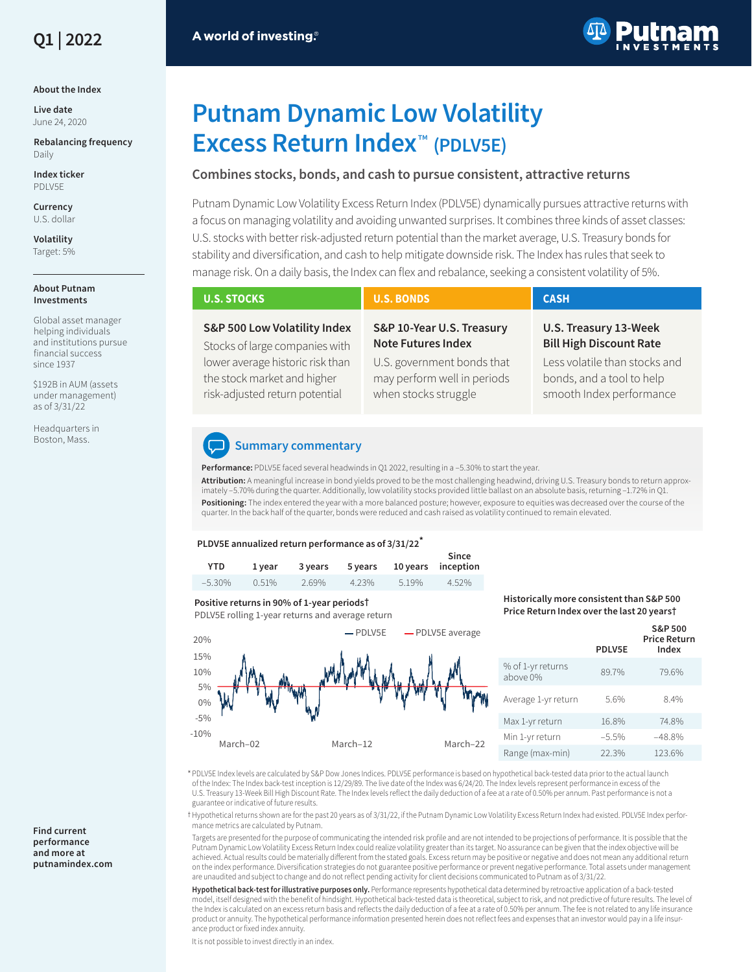

#### **About the Index**

**Live date** June 24, 2020

**Rebalancing frequency** Daily

**Index ticker** PDLV5E

**Currency** U.S. dollar

**Volatility** Target: 5%

#### **About Putnam Investments**

Global asset manager helping individuals and institutions pursue financial success since 1937

\$192B in AUM (assets under management) as of 3/31/22

Headquarters in Boston, Mass.

# A world of investing.®



# **Putnam Dynamic Low Volatility Excess Return Index**™ **(PDLV5E)**

### **Combines stocks, bonds, and cash to pursue consistent, attractive returns**

Putnam Dynamic Low Volatility Excess Return Index (PDLV5E) dynamically pursues attractive returns with a focus on managing volatility and avoiding unwanted surprises. It combines three kinds of asset classes: U.S. stocks with better risk-adjusted return potential than the market average, U.S. Treasury bonds for stability and diversification, and cash to help mitigate downside risk. The Index has rules that seek to manage risk. On a daily basis, the Index can flex and rebalance, seeking a consistent volatility of 5%.

| <b>U.S. STOCKS</b>                                                                                                                | <b>U.S. BONDS</b>                                                                                                   | <b>CASH</b>                                                                                                           |
|-----------------------------------------------------------------------------------------------------------------------------------|---------------------------------------------------------------------------------------------------------------------|-----------------------------------------------------------------------------------------------------------------------|
| S&P 500 Low Volatility Index<br>Stocks of large companies with<br>lower average historic risk than<br>the stock market and higher | S&P 10-Year U.S. Treasury<br><b>Note Futures Index</b><br>U.S. government bonds that<br>may perform well in periods | U.S. Treasury 13-Week<br><b>Bill High Discount Rate</b><br>Less volatile than stocks and<br>bonds, and a tool to help |
| risk-adjusted return potential                                                                                                    | when stocks struggle                                                                                                | smooth Index performance                                                                                              |

## **Summary commentary**

**Performance:** PDLV5E faced several headwinds in Q1 2022, resulting in a –5.30% to start the year. **Attribution:** A meaningful increase in bond yields proved to be the most challenging headwind, driving U.S. Treasury bonds to return approximately –5.70% during the quarter. Additionally, low volatility stocks provided little ballast on an absolute basis, returning –1.72% in Q1. **Positioning:** The index entered the year with a more balanced posture; however, exposure to equities was decreased over the course of the quarter. In the back half of the quarter, bonds were reduced and cash raised as volatility continued to remain elevated.

#### **PLDV5E annualized return performance as of 3/31/22\***

| YTD.      | 1 vear | 3 vears | 5 years |       | Since<br>10 years inception |
|-----------|--------|---------|---------|-------|-----------------------------|
| $-5.30\%$ | 0.51%  | 2.69%   | 4.23%   | 5.19% | 4.52%                       |

#### **Positive returns in 90% of 1-year periods†**

PDLV5E rolling 1-year returns and average return



#### **Historically more consistent than S&P 500 Price Return Index over the last 20 years†**

|                               | PDLV5E  | <b>S&amp;P 500</b><br><b>Price Return</b><br>Index |
|-------------------------------|---------|----------------------------------------------------|
| % of 1-yr returns<br>above 0% | 89.7%   | 79.6%                                              |
| Average 1-yr return           | 5.6%    | 8 4%                                               |
| Max 1-yr return               | 16.8%   | 74.8%                                              |
| Min 1-yr return               | $-5.5%$ | $-48.8%$                                           |
| Range (max-min)               | 22.3%   | 123.6%                                             |

\* PDLV5E Index levels are calculated by S&P Dow Jones Indices. PDLV5E performance is based on hypothetical back-tested data prior to the actual launch of the Index: The Index back-test inception is 12/29/89. The live date of the Index was 6/24/20. The Index levels represent performance in excess of the U.S. Treasury 13-Week Bill High Discount Rate. The Index levels reflect the daily deduction of a fee at a rate of 0.50% per annum. Past performance is not a guarantee or indicative of future results.

t Hypothetical returns shown are for the past 20 years as of 3/31/22, if the Putnam Dynamic Low Volatility Excess Return Index had existed. PDLV5E Index performance metrics are calculated by Putnam.

Targets are presented for the purpose of communicating the intended risk profile and are not intended to be projections of performance. It is possible that the Putnam Dynamic Low Volatility Excess Return Index could realize volatility greater than its target. No assurance can be given that the index objective will be achieved. Actual results could be materially different from the stated goals. Excess return may be positive or negative and does not mean any additional return on the index performance. Diversification strategies do not guarantee positive performance or prevent negative performance. Total assets under management are unaudited and subject to change and do not reflect pending activity for client decisions communicated to Putnam as of 3/31/22.

**Hypothetical back-test for illustrative purposes only.** Performance represents hypothetical data determined by retroactive application of a back-tested model, itself designed with the benefit of hindsight. Hypothetical back-tested data is theoretical, subject to risk, and not predictive of future results. The level of the Index is calculated on an excess return basis and reflects the daily deduction of a fee at a rate of 0.50% per annum. The fee is not related to any life insurance product or annuity. The hypothetical performance information presented herein does not reflect fees and expenses that an investor would pay in a life insurance product or fixed index annuity.

It is not possible to invest directly in an index.

#### **Find current performance and more at [putnamindex.com](https://www.putnamindex.com?ref=PS002_PDI.pdf)**